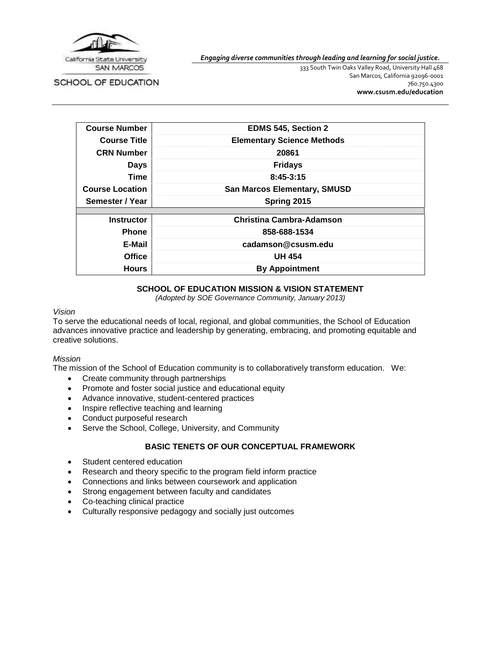

SCHOOL OF EDUCATION

*Engaging diverse communities through leading and learning for social justice.*

333 South Twin Oaks Valley Road, University Hall 468 San Marcos, California 92096-0001 760.750.4300 **[www.csusm.edu/education](http://www.csusm.edu/education)**

| <b>Course Number</b>   | <b>EDMS 545, Section 2</b>          |
|------------------------|-------------------------------------|
| <b>Course Title</b>    | <b>Elementary Science Methods</b>   |
| <b>CRN Number</b>      | 20861                               |
| <b>Days</b>            | <b>Fridays</b>                      |
| <b>Time</b>            | $8:45-3:15$                         |
| <b>Course Location</b> | <b>San Marcos Elementary, SMUSD</b> |
| Semester / Year        | Spring 2015                         |
|                        |                                     |
| <b>Instructor</b>      | <b>Christina Cambra-Adamson</b>     |
| <b>Phone</b>           | 858-688-1534                        |
| E-Mail                 | cadamson@csusm.edu                  |
| <b>Office</b>          | <b>UH 454</b>                       |
| <b>Hours</b>           | <b>By Appointment</b>               |

### **SCHOOL OF EDUCATION MISSION & VISION STATEMENT**

*(Adopted by SOE Governance Community, January 2013)*

#### *Vision*

To serve the educational needs of local, regional, and global communities, the School of Education advances innovative practice and leadership by generating, embracing, and promoting equitable and creative solutions.

#### *Mission*

The mission of the School of Education community is to collaboratively transform education. We:

- Create community through partnerships
- Promote and foster social justice and educational equity
- Advance innovative, student-centered practices
- Inspire reflective teaching and learning
- Conduct purposeful research
- Serve the School, College, University, and Community

### **BASIC TENETS OF OUR CONCEPTUAL FRAMEWORK**

- Student centered education
- Research and theory specific to the program field inform practice
- Connections and links between coursework and application
- Strong engagement between faculty and candidates
- Co-teaching clinical practice
- Culturally responsive pedagogy and socially just outcomes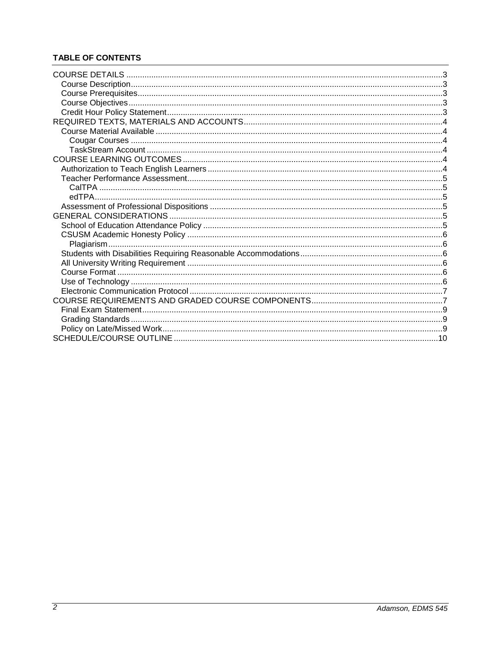# **TABLE OF CONTENTS**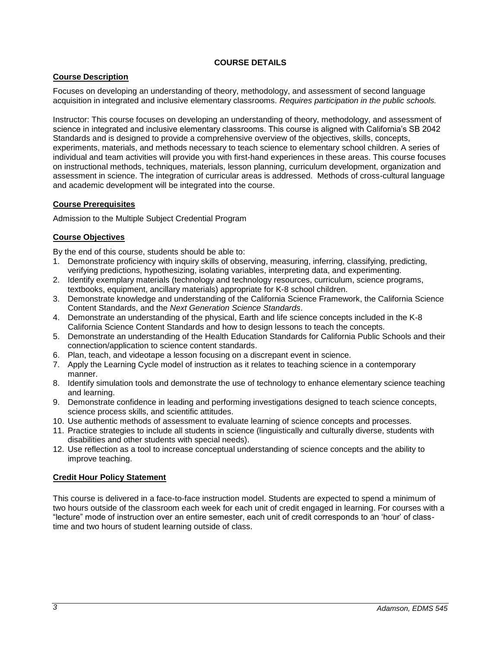### **COURSE DETAILS**

## <span id="page-2-1"></span><span id="page-2-0"></span>**Course Description**

Focuses on developing an understanding of theory, methodology, and assessment of second language acquisition in integrated and inclusive elementary classrooms. *Requires participation in the public schools.*

Instructor: This course focuses on developing an understanding of theory, methodology, and assessment of science in integrated and inclusive elementary classrooms. This course is aligned with California's SB 2042 Standards and is designed to provide a comprehensive overview of the objectives, skills, concepts, experiments, materials, and methods necessary to teach science to elementary school children. A series of individual and team activities will provide you with first-hand experiences in these areas. This course focuses on instructional methods, techniques, materials, lesson planning, curriculum development, organization and assessment in science. The integration of curricular areas is addressed. Methods of cross-cultural language and academic development will be integrated into the course.

### <span id="page-2-2"></span>**Course Prerequisites**

Admission to the Multiple Subject Credential Program

## <span id="page-2-3"></span>**Course Objectives**

By the end of this course, students should be able to:

- 1. Demonstrate proficiency with inquiry skills of observing, measuring, inferring, classifying, predicting, verifying predictions, hypothesizing, isolating variables, interpreting data, and experimenting.
- 2. Identify exemplary materials (technology and technology resources, curriculum, science programs, textbooks, equipment, ancillary materials) appropriate for K-8 school children.
- 3. Demonstrate knowledge and understanding of the California Science Framework, the California Science Content Standards, and the *Next Generation Science Standards*.
- 4. Demonstrate an understanding of the physical, Earth and life science concepts included in the K-8 California Science Content Standards and how to design lessons to teach the concepts.
- 5. Demonstrate an understanding of the Health Education Standards for California Public Schools and their connection/application to science content standards.
- 6. Plan, teach, and videotape a lesson focusing on a discrepant event in science.
- 7. Apply the Learning Cycle model of instruction as it relates to teaching science in a contemporary manner.
- 8. Identify simulation tools and demonstrate the use of technology to enhance elementary science teaching and learning.
- 9. Demonstrate confidence in leading and performing investigations designed to teach science concepts, science process skills, and scientific attitudes.
- 10. Use authentic methods of assessment to evaluate learning of science concepts and processes.
- 11. Practice strategies to include all students in science (linguistically and culturally diverse, students with disabilities and other students with special needs).
- 12. Use reflection as a tool to increase conceptual understanding of science concepts and the ability to improve teaching.

### <span id="page-2-4"></span>**Credit Hour Policy Statement**

This course is delivered in a face-to-face instruction model. Students are expected to spend a minimum of two hours outside of the classroom each week for each unit of credit engaged in learning. For courses with a "lecture" mode of instruction over an entire semester, each unit of credit corresponds to an 'hour' of classtime and two hours of student learning outside of class.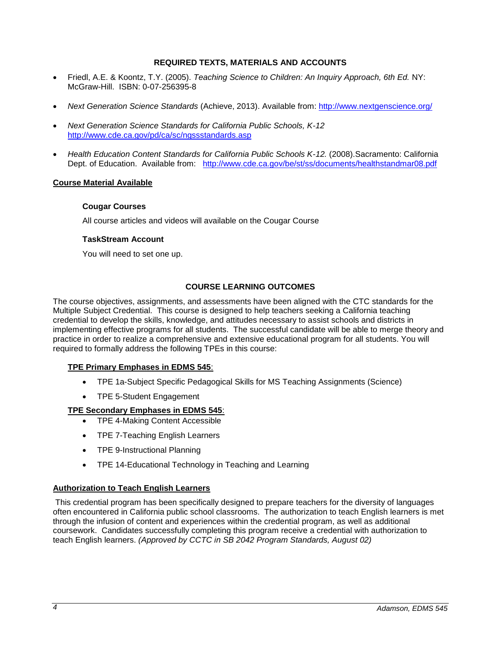### **REQUIRED TEXTS, MATERIALS AND ACCOUNTS**

- <span id="page-3-0"></span> Friedl, A.E. & Koontz, T.Y. (2005). *Teaching Science to Children: An Inquiry Approach, 6th Ed.* NY: McGraw-Hill. ISBN: 0-07-256395-8
- *Next Generation Science Standards* (Achieve, 2013). Available from:<http://www.nextgenscience.org/>
- *Next Generation Science Standards for California Public Schools, K-12* <http://www.cde.ca.gov/pd/ca/sc/ngssstandards.asp>
- *Health Education Content Standards for California Public Schools K-12.* (2008).Sacramento: California Dept. of Education. Available from: <http://www.cde.ca.gov/be/st/ss/documents/healthstandmar08.pdf>

#### <span id="page-3-2"></span><span id="page-3-1"></span>**Course Material Available**

#### **Cougar Courses**

All course articles and videos will available on the Cougar Course

#### <span id="page-3-3"></span>**TaskStream Account**

You will need to set one up.

#### **COURSE LEARNING OUTCOMES**

<span id="page-3-4"></span>The course objectives, assignments, and assessments have been aligned with the CTC standards for the Multiple Subject Credential. This course is designed to help teachers seeking a California teaching credential to develop the skills, knowledge, and attitudes necessary to assist schools and districts in implementing effective programs for all students. The successful candidate will be able to merge theory and practice in order to realize a comprehensive and extensive educational program for all students. You will required to formally address the following TPEs in this course:

#### **TPE Primary Emphases in EDMS 545**:

- TPE 1a-Subject Specific Pedagogical Skills for MS Teaching Assignments (Science)
- TPE 5-Student Engagement

#### **TPE Secondary Emphases in EDMS 545**:

- TPE 4-Making Content Accessible
- TPE 7-Teaching English Learners
- TPE 9-Instructional Planning
- TPE 14-Educational Technology in Teaching and Learning

#### <span id="page-3-5"></span>**Authorization to Teach English Learners**

This credential program has been specifically designed to prepare teachers for the diversity of languages often encountered in California public school classrooms. The authorization to teach English learners is met through the infusion of content and experiences within the credential program, as well as additional coursework. Candidates successfully completing this program receive a credential with authorization to teach English learners. *(Approved by CCTC in SB 2042 Program Standards, August 02)*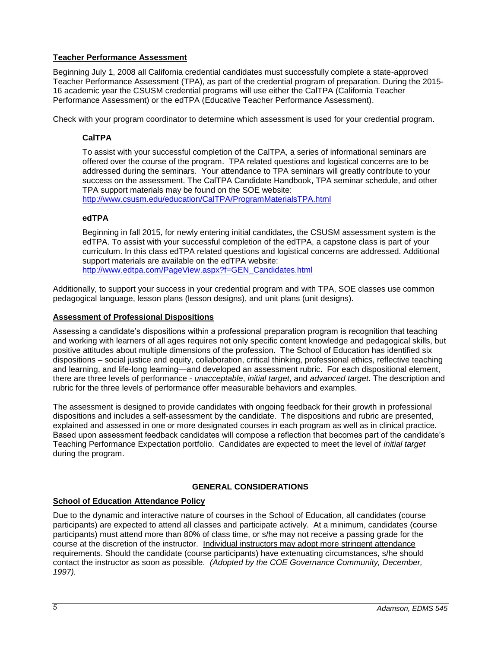### <span id="page-4-0"></span>**Teacher Performance Assessment**

Beginning July 1, 2008 all California credential candidates must successfully complete a state-approved Teacher Performance Assessment (TPA), as part of the credential program of preparation. During the 2015- 16 academic year the CSUSM credential programs will use either the CalTPA (California Teacher Performance Assessment) or the edTPA (Educative Teacher Performance Assessment).

<span id="page-4-1"></span>Check with your program coordinator to determine which assessment is used for your credential program.

## **CalTPA**

To assist with your successful completion of the CalTPA, a series of informational seminars are offered over the course of the program. TPA related questions and logistical concerns are to be addressed during the seminars. Your attendance to TPA seminars will greatly contribute to your success on the assessment. The CalTPA Candidate Handbook, TPA seminar schedule, and other TPA support materials may be found on the SOE website:

<http://www.csusm.edu/education/CalTPA/ProgramMaterialsTPA.html>

### <span id="page-4-2"></span>**edTPA**

Beginning in fall 2015, for newly entering initial candidates, the CSUSM assessment system is the edTPA. To assist with your successful completion of the edTPA, a capstone class is part of your curriculum. In this class edTPA related questions and logistical concerns are addressed. Additional support materials are available on the edTPA website: [http://www.edtpa.com/PageView.aspx?f=GEN\\_Candidates.html](http://www.edtpa.com/PageView.aspx?f=GEN_Candidates.html)

Additionally, to support your success in your credential program and with TPA, SOE classes use common pedagogical language, lesson plans (lesson designs), and unit plans (unit designs).

### <span id="page-4-3"></span>**Assessment of Professional Dispositions**

Assessing a candidate's dispositions within a professional preparation program is recognition that teaching and working with learners of all ages requires not only specific content knowledge and pedagogical skills, but positive attitudes about multiple dimensions of the profession. The School of Education has identified six dispositions – social justice and equity, collaboration, critical thinking, professional ethics, reflective teaching and learning, and life-long learning—and developed an assessment rubric. For each dispositional element, there are three levels of performance - *unacceptable*, *initial target*, and *advanced target*. The description and rubric for the three levels of performance offer measurable behaviors and examples.

The assessment is designed to provide candidates with ongoing feedback for their growth in professional dispositions and includes a self-assessment by the candidate. The dispositions and rubric are presented, explained and assessed in one or more designated courses in each program as well as in clinical practice. Based upon assessment feedback candidates will compose a reflection that becomes part of the candidate's Teaching Performance Expectation portfolio. Candidates are expected to meet the level of *initial target* during the program.

## **GENERAL CONSIDERATIONS**

### <span id="page-4-5"></span><span id="page-4-4"></span>**School of Education Attendance Policy**

Due to the dynamic and interactive nature of courses in the School of Education, all candidates (course participants) are expected to attend all classes and participate actively. At a minimum, candidates (course participants) must attend more than 80% of class time, or s/he may not receive a passing grade for the course at the discretion of the instructor. Individual instructors may adopt more stringent attendance requirements. Should the candidate (course participants) have extenuating circumstances, s/he should contact the instructor as soon as possible. *(Adopted by the COE Governance Community, December, 1997).*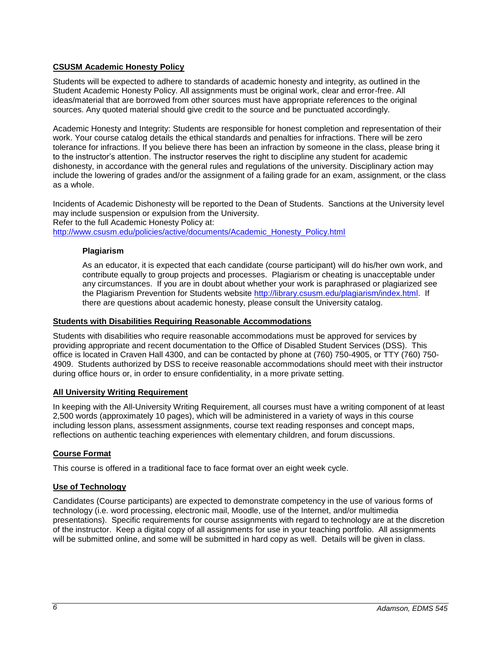### <span id="page-5-0"></span>**CSUSM Academic Honesty Policy**

Students will be expected to adhere to standards of academic honesty and integrity, as outlined in the Student Academic Honesty Policy. All assignments must be original work, clear and error-free. All ideas/material that are borrowed from other sources must have appropriate references to the original sources. Any quoted material should give credit to the source and be punctuated accordingly.

Academic Honesty and Integrity: Students are responsible for honest completion and representation of their work. Your course catalog details the ethical standards and penalties for infractions. There will be zero tolerance for infractions. If you believe there has been an infraction by someone in the class, please bring it to the instructor's attention. The instructor reserves the right to discipline any student for academic dishonesty, in accordance with the general rules and regulations of the university. Disciplinary action may include the lowering of grades and/or the assignment of a failing grade for an exam, assignment, or the class as a whole.

Incidents of Academic Dishonesty will be reported to the Dean of Students. Sanctions at the University level may include suspension or expulsion from the University. Refer to the full Academic Honesty Policy at:

<span id="page-5-1"></span>[http://www.csusm.edu/policies/active/documents/Academic\\_Honesty\\_Policy.html](http://www.csusm.edu/policies/active/documents/Academic_Honesty_Policy.html)

#### **Plagiarism**

As an educator, it is expected that each candidate (course participant) will do his/her own work, and contribute equally to group projects and processes. Plagiarism or cheating is unacceptable under any circumstances. If you are in doubt about whether your work is paraphrased or plagiarized see the Plagiarism Prevention for Students website [http://library.csusm.edu/plagiarism/index.html.](http://library.csusm.edu/plagiarism/index.html) If there are questions about academic honesty, please consult the University catalog.

#### <span id="page-5-2"></span>**Students with Disabilities Requiring Reasonable Accommodations**

Students with disabilities who require reasonable accommodations must be approved for services by providing appropriate and recent documentation to the Office of Disabled Student Services (DSS). This office is located in Craven Hall 4300, and can be contacted by phone at (760) 750-4905, or TTY (760) 750- 4909. Students authorized by DSS to receive reasonable accommodations should meet with their instructor during office hours or, in order to ensure confidentiality, in a more private setting.

#### <span id="page-5-3"></span>**All University Writing Requirement**

In keeping with the All-University Writing Requirement, all courses must have a writing component of at least 2,500 words (approximately 10 pages), which will be administered in a variety of ways in this course including lesson plans, assessment assignments, course text reading responses and concept maps, reflections on authentic teaching experiences with elementary children, and forum discussions.

### <span id="page-5-4"></span>**Course Format**

This course is offered in a traditional face to face format over an eight week cycle.

#### <span id="page-5-5"></span>**Use of Technology**

Candidates (Course participants) are expected to demonstrate competency in the use of various forms of technology (i.e. word processing, electronic mail, Moodle, use of the Internet, and/or multimedia presentations). Specific requirements for course assignments with regard to technology are at the discretion of the instructor. Keep a digital copy of all assignments for use in your teaching portfolio. All assignments will be submitted online, and some will be submitted in hard copy as well. Details will be given in class.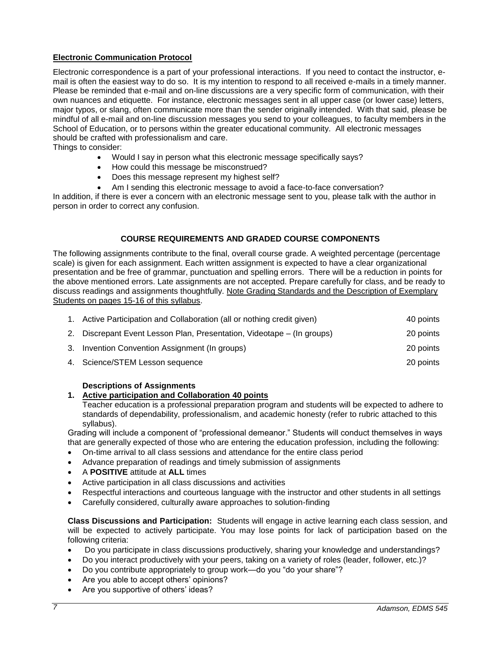### <span id="page-6-0"></span>**Electronic Communication Protocol**

Electronic correspondence is a part of your professional interactions. If you need to contact the instructor, email is often the easiest way to do so. It is my intention to respond to all received e-mails in a timely manner. Please be reminded that e-mail and on-line discussions are a very specific form of communication, with their own nuances and etiquette. For instance, electronic messages sent in all upper case (or lower case) letters, major typos, or slang, often communicate more than the sender originally intended. With that said, please be mindful of all e-mail and on-line discussion messages you send to your colleagues, to faculty members in the School of Education, or to persons within the greater educational community. All electronic messages should be crafted with professionalism and care.

Things to consider:

- Would I say in person what this electronic message specifically says?
- How could this message be misconstrued?
- Does this message represent my highest self?
- Am I sending this electronic message to avoid a face-to-face conversation?

In addition, if there is ever a concern with an electronic message sent to you, please talk with the author in person in order to correct any confusion.

#### **COURSE REQUIREMENTS AND GRADED COURSE COMPONENTS**

<span id="page-6-1"></span>The following assignments contribute to the final, overall course grade. A weighted percentage (percentage scale) is given for each assignment. Each written assignment is expected to have a clear organizational presentation and be free of grammar, punctuation and spelling errors. There will be a reduction in points for the above mentioned errors. Late assignments are not accepted. Prepare carefully for class, and be ready to discuss readings and assignments thoughtfully. Note Grading Standards and the Description of Exemplary Students on pages 15-16 of this syllabus.

| 1. Active Participation and Collaboration (all or nothing credit given) | 40 points |
|-------------------------------------------------------------------------|-----------|
| 2. Discrepant Event Lesson Plan, Presentation, Videotape – (In groups)  | 20 points |
| 3. Invention Convention Assignment (In groups)                          | 20 points |
| 4. Science/STEM Lesson sequence                                         | 20 points |

#### **Descriptions of Assignments**

#### **1. Active participation and Collaboration 40 points**

Teacher education is a professional preparation program and students will be expected to adhere to standards of dependability, professionalism, and academic honesty (refer to rubric attached to this syllabus).

Grading will include a component of "professional demeanor." Students will conduct themselves in ways that are generally expected of those who are entering the education profession, including the following:

- On-time arrival to all class sessions and attendance for the entire class period
- Advance preparation of readings and timely submission of assignments
- A **POSITIVE** attitude at **ALL** times
- Active participation in all class discussions and activities
- Respectful interactions and courteous language with the instructor and other students in all settings
- Carefully considered, culturally aware approaches to solution-finding

**Class Discussions and Participation:** Students will engage in active learning each class session, and will be expected to actively participate. You may lose points for lack of participation based on the following criteria:

- Do you participate in class discussions productively, sharing your knowledge and understandings?
- Do you interact productively with your peers, taking on a variety of roles (leader, follower, etc.)?
- Do you contribute appropriately to group work—do you "do your share"?
- Are you able to accept others' opinions?
- Are you supportive of others' ideas?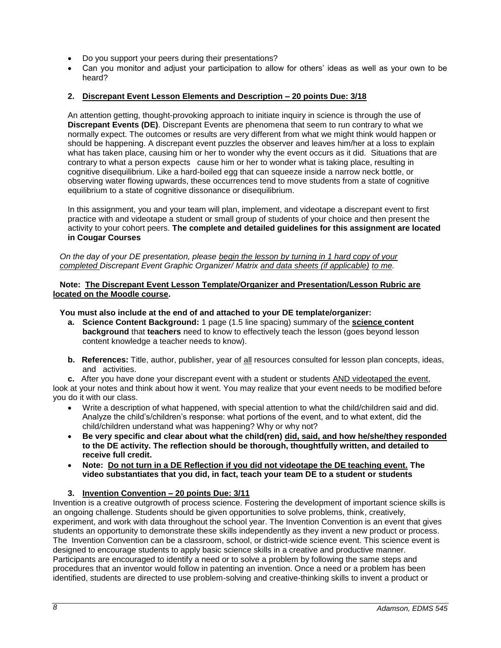- Do you support your peers during their presentations?
- Can you monitor and adjust your participation to allow for others' ideas as well as your own to be heard?

## **2. Discrepant Event Lesson Elements and Description – 20 points Due: 3/18**

An attention getting, thought-provoking approach to initiate inquiry in science is through the use of **Discrepant Events (DE)**. Discrepant Events are phenomena that seem to run contrary to what we normally expect. The outcomes or results are very different from what we might think would happen or should be happening. A discrepant event puzzles the observer and leaves him/her at a loss to explain what has taken place, causing him or her to wonder why the event occurs as it did. Situations that are contrary to what a person expects cause him or her to wonder what is taking place, resulting in cognitive disequilibrium. Like a hard-boiled egg that can squeeze inside a narrow neck bottle, or observing water flowing upwards, these occurrences tend to move students from a state of cognitive equilibrium to a state of cognitive dissonance or disequilibrium.

In this assignment, you and your team will plan, implement, and videotape a discrepant event to first practice with and videotape a student or small group of students of your choice and then present the activity to your cohort peers. **The complete and detailed guidelines for this assignment are located in Cougar Courses**

*On the day of your DE presentation, please begin the lesson by turning in 1 hard copy of your completed Discrepant Event Graphic Organizer/ Matrix and data sheets (if applicable) to me.* 

#### **Note: The Discrepant Event Lesson Template/Organizer and Presentation/Lesson Rubric are located on the Moodle course.**

#### **You must also include at the end of and attached to your DE template/organizer:**

- **a. Science Content Background:** 1 page (1.5 line spacing) summary of the **science content background** that **teachers** need to know to effectively teach the lesson (goes beyond lesson content knowledge a teacher needs to know).
- **b. References:** Title, author, publisher, year of all resources consulted for lesson plan concepts, ideas, and activities.

**c.** After you have done your discrepant event with a student or students AND videotaped the event, look at your notes and think about how it went. You may realize that your event needs to be modified before you do it with our class.

- Write a description of what happened, with special attention to what the child/children said and did. Analyze the child's/children's response: what portions of the event, and to what extent, did the child/children understand what was happening? Why or why not?
- **Be very specific and clear about what the child(ren) did, said, and how he/she/they responded to the DE activity. The reflection should be thorough, thoughtfully written, and detailed to receive full credit.**
- **Note: Do not turn in a DE Reflection if you did not videotape the DE teaching event. The video substantiates that you did, in fact, teach your team DE to a student or students**

### **3. Invention Convention – 20 points Due: 3/11**

Invention is a creative outgrowth of process science. Fostering the development of important science skills is an ongoing challenge. Students should be given opportunities to solve problems, think, creatively, experiment, and work with data throughout the school year. The Invention Convention is an event that gives students an opportunity to demonstrate these skills independently as they invent a new product or process. The Invention Convention can be a classroom, school, or district-wide science event. This science event is designed to encourage students to apply basic science skills in a creative and productive manner. Participants are encouraged to identify a need or to solve a problem by following the same steps and procedures that an inventor would follow in patenting an invention. Once a need or a problem has been identified, students are directed to use problem-solving and creative-thinking skills to invent a product or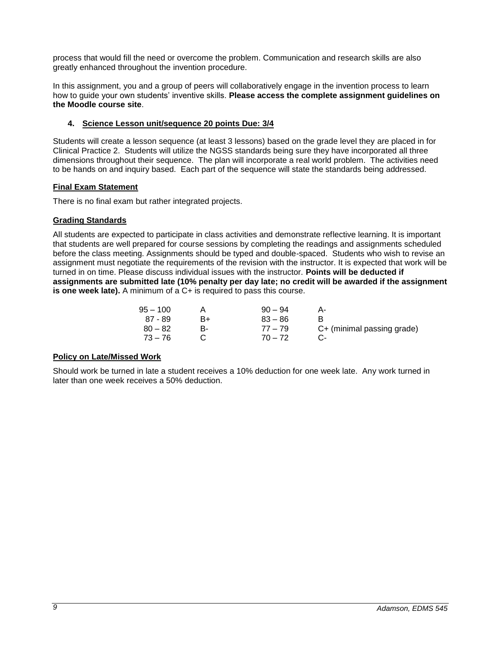process that would fill the need or overcome the problem. Communication and research skills are also greatly enhanced throughout the invention procedure.

In this assignment, you and a group of peers will collaboratively engage in the invention process to learn how to guide your own students' inventive skills. **Please access the complete assignment guidelines on the Moodle course site**.

### **4. Science Lesson unit/sequence 20 points Due: 3/4**

Students will create a lesson sequence (at least 3 lessons) based on the grade level they are placed in for Clinical Practice 2. Students will utilize the NGSS standards being sure they have incorporated all three dimensions throughout their sequence. The plan will incorporate a real world problem. The activities need to be hands on and inquiry based. Each part of the sequence will state the standards being addressed.

### <span id="page-8-0"></span>**Final Exam Statement**

There is no final exam but rather integrated projects.

## <span id="page-8-1"></span>**Grading Standards**

All students are expected to participate in class activities and demonstrate reflective learning. It is important that students are well prepared for course sessions by completing the readings and assignments scheduled before the class meeting. Assignments should be typed and double-spaced. Students who wish to revise an assignment must negotiate the requirements of the revision with the instructor. It is expected that work will be turned in on time. Please discuss individual issues with the instructor. **Points will be deducted if assignments are submitted late (10% penalty per day late; no credit will be awarded if the assignment is one week late).** A minimum of a C+ is required to pass this course.

| 95 – 100  |    | $90 - 94$ |                            |
|-----------|----|-----------|----------------------------|
| 87 - 89   | B+ | $83 - 86$ |                            |
| $80 - 82$ |    | $77 - 79$ | C+ (minimal passing grade) |
| - 73 – 76 |    | $70 - 72$ |                            |

### <span id="page-8-2"></span>**Policy on Late/Missed Work**

Should work be turned in late a student receives a 10% deduction for one week late. Any work turned in later than one week receives a 50% deduction.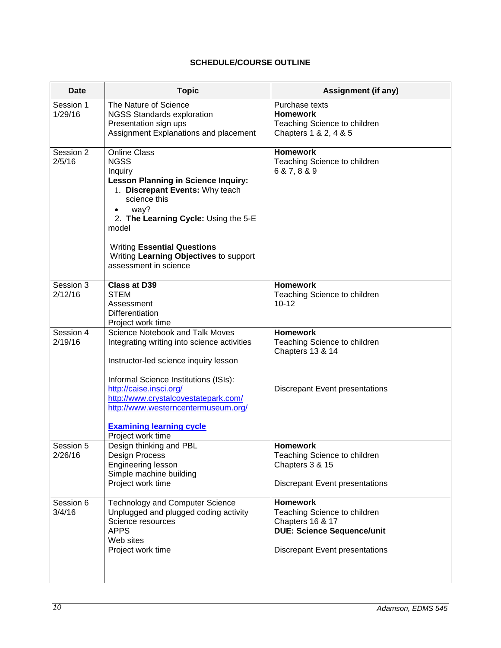# **SCHEDULE/COURSE OUTLINE**

<span id="page-9-0"></span>

| <b>Date</b>          | <b>Topic</b>                                                                                                                                                                                                                                                                                                                       | Assignment (if any)                                                                                                                               |
|----------------------|------------------------------------------------------------------------------------------------------------------------------------------------------------------------------------------------------------------------------------------------------------------------------------------------------------------------------------|---------------------------------------------------------------------------------------------------------------------------------------------------|
| Session 1<br>1/29/16 | The Nature of Science<br><b>NGSS Standards exploration</b><br>Presentation sign ups<br>Assignment Explanations and placement                                                                                                                                                                                                       | Purchase texts<br><b>Homework</b><br>Teaching Science to children<br>Chapters 1 & 2, 4 & 5                                                        |
| Session 2<br>2/5/16  | <b>Online Class</b><br><b>NGSS</b><br>Inquiry<br><b>Lesson Planning in Science Inquiry:</b><br>1. Discrepant Events: Why teach<br>science this<br>way?<br>2. The Learning Cycle: Using the 5-E<br>model<br><b>Writing Essential Questions</b><br>Writing Learning Objectives to support<br>assessment in science                   | <b>Homework</b><br>Teaching Science to children<br>6 & 7, 8 & 9                                                                                   |
| Session 3<br>2/12/16 | <b>Class at D39</b><br><b>STEM</b><br>Assessment<br><b>Differentiation</b><br>Project work time                                                                                                                                                                                                                                    | <b>Homework</b><br>Teaching Science to children<br>$10 - 12$                                                                                      |
| Session 4<br>2/19/16 | Science Notebook and Talk Moves<br>Integrating writing into science activities<br>Instructor-led science inquiry lesson<br>Informal Science Institutions (ISIs):<br>http://caise.insci.org/<br>http://www.crystalcovestatepark.com/<br>http://www.westerncentermuseum.org/<br><b>Examining learning cycle</b><br>Project work time | <b>Homework</b><br>Teaching Science to children<br>Chapters 13 & 14<br><b>Discrepant Event presentations</b>                                      |
| Session 5<br>2/26/16 | Design thinking and PBL<br>Design Process<br>Engineering lesson<br>Simple machine building<br>Project work time                                                                                                                                                                                                                    | <b>Homework</b><br>Teaching Science to children<br>Chapters 3 & 15<br><b>Discrepant Event presentations</b>                                       |
| Session 6<br>3/4/16  | <b>Technology and Computer Science</b><br>Unplugged and plugged coding activity<br>Science resources<br><b>APPS</b><br>Web sites<br>Project work time                                                                                                                                                                              | <b>Homework</b><br>Teaching Science to children<br>Chapters 16 & 17<br><b>DUE: Science Sequence/unit</b><br><b>Discrepant Event presentations</b> |